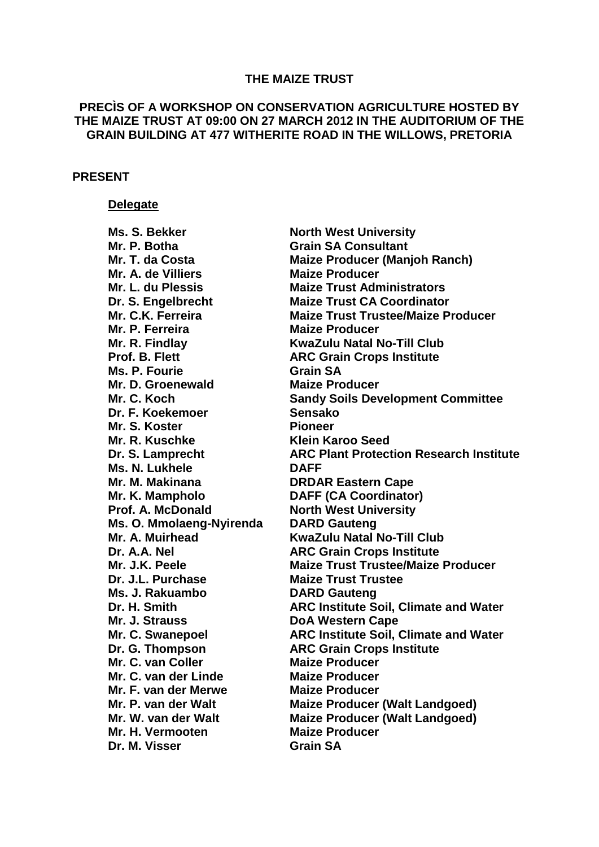#### **THE MAIZE TRUST**

# **PRECÌS OF A WORKSHOP ON CONSERVATION AGRICULTURE HOSTED BY THE MAIZE TRUST AT 09:00 ON 27 MARCH 2012 IN THE AUDITORIUM OF THE GRAIN BUILDING AT 477 WITHERITE ROAD IN THE WILLOWS, PRETORIA**

## **PRESENT**

## **Delegate**

**Mr. P. Botha Grain SA Consultant Mr. A. de Villiers Maize Producer Mr. P. Ferreira Maize Producer Ms. P. Fourie Grain SA Mr. D. Groenewald Maize Producer Dr. F. Koekemoer Sensako Mr. S. Koster Pioneer Mr. R. Kuschke Klein Karoo Seed Ms. N. Lukhele DAFF Mr. M. Makinana DRDAR Eastern Cape Mr. K. Mampholo DAFF (CA Coordinator) Prof. A. McDonald North West University Ms. O. Mmolaeng-Nyirenda DARD Gauteng Dr. J.L. Purchase Maize Trust Trustee Ms. J. Rakuambo DARD Gauteng Mr. J. Strauss DoA Western Cape Mr. C. van Coller Maize Producer Mr. C. van der Linde Maize Producer Mr. F. van der Merwe Maize Producer Mr. H. Vermooten Maize Producer Dr. M. Visser Grain SA**

**Ms. S. Bekker North West University Mr. T. da Costa Maize Producer (Manjoh Ranch) Mr. L. du Plessis Maize Trust Administrators Dr. S. Engelbrecht Maize Trust CA Coordinator Mr. C.K. Ferreira Maize Trust Trustee/Maize Producer Mr. R. Findlay KwaZulu Natal No-Till Club Prof. B. Flett ARC Grain Crops Institute Mr. C. Koch Sandy Soils Development Committee Dr. S. Lamprecht ARC Plant Protection Research Institute Mr. A. Muirhead KwaZulu Natal No-Till Club Dr. A.A. Nel ARC Grain Crops Institute Mr. J.K. Peele Maize Trust Trustee/Maize Producer Dr. H. Smith ARC Institute Soil, Climate and Water Mr. C. Swanepoel ARC Institute Soil, Climate and Water Dr. G. Thompson ARC Grain Crops Institute Mr. P. van der Walt Maize Producer (Walt Landgoed) Mr. W. van der Walt Maize Producer (Walt Landgoed)**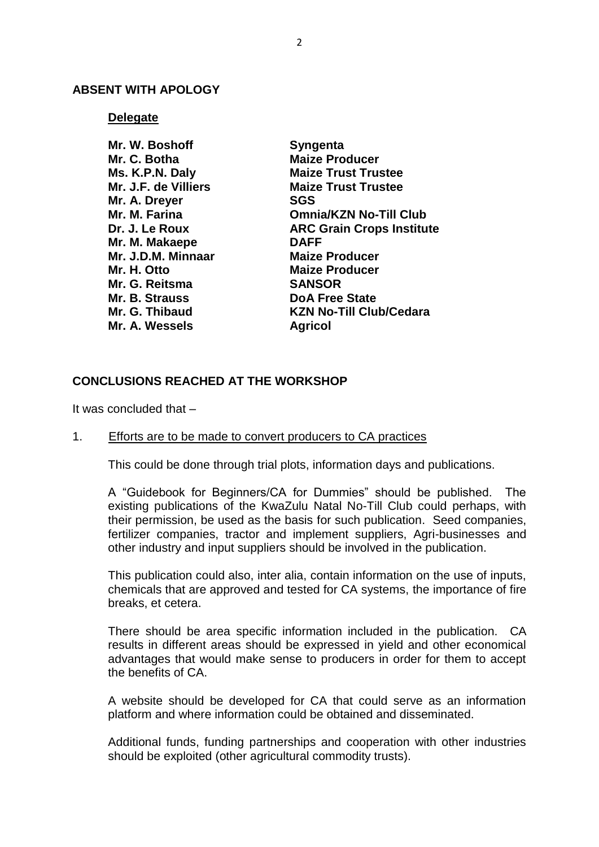## **ABSENT WITH APOLOGY**

### **Delegate**

| Mr. W. Boshoff       | <b>Syngenta</b>                  |
|----------------------|----------------------------------|
| Mr. C. Botha         | <b>Maize Producer</b>            |
| Ms. K.P.N. Daly      | <b>Maize Trust Trustee</b>       |
| Mr. J.F. de Villiers | <b>Maize Trust Trustee</b>       |
| Mr. A. Dreyer        | <b>SGS</b>                       |
| Mr. M. Farina        | <b>Omnia/KZN No-Till Club</b>    |
| Dr. J. Le Roux       | <b>ARC Grain Crops Institute</b> |
| Mr. M. Makaepe       | <b>DAFF</b>                      |
| Mr. J.D.M. Minnaar   | <b>Maize Producer</b>            |
| Mr. H. Otto          | <b>Maize Producer</b>            |
| Mr. G. Reitsma       | <b>SANSOR</b>                    |
| Mr. B. Strauss       | <b>DoA Free State</b>            |
| Mr. G. Thibaud       | <b>KZN No-Till Club/Cedara</b>   |
| Mr. A. Wessels       | <b>Agricol</b>                   |

# **CONCLUSIONS REACHED AT THE WORKSHOP**

It was concluded that –

# 1. Efforts are to be made to convert producers to CA practices

This could be done through trial plots, information days and publications.

A "Guidebook for Beginners/CA for Dummies" should be published. The existing publications of the KwaZulu Natal No-Till Club could perhaps, with their permission, be used as the basis for such publication. Seed companies, fertilizer companies, tractor and implement suppliers, Agri-businesses and other industry and input suppliers should be involved in the publication.

This publication could also, inter alia, contain information on the use of inputs, chemicals that are approved and tested for CA systems, the importance of fire breaks, et cetera.

There should be area specific information included in the publication. CA results in different areas should be expressed in yield and other economical advantages that would make sense to producers in order for them to accept the benefits of CA.

A website should be developed for CA that could serve as an information platform and where information could be obtained and disseminated.

Additional funds, funding partnerships and cooperation with other industries should be exploited (other agricultural commodity trusts).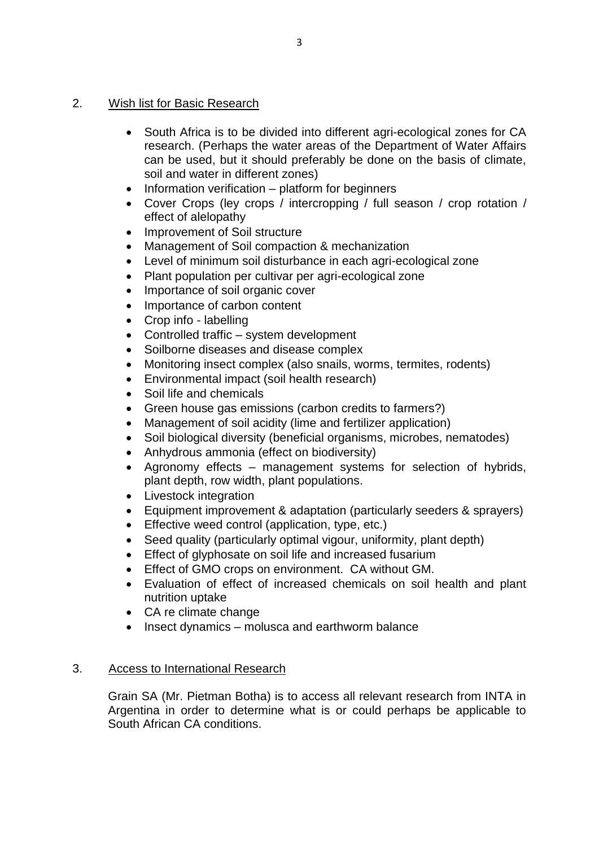# 2. Wish list for Basic Research

- South Africa is to be divided into different agri-ecological zones for CA research. (Perhaps the water areas of the Department of Water Affairs can be used, but it should preferably be done on the basis of climate, soil and water in different zones)
- Information verification platform for beginners
- Cover Crops (ley crops / intercropping / full season / crop rotation / effect of alelopathy
- Improvement of Soil structure
- Management of Soil compaction & mechanization
- Level of minimum soil disturbance in each agri-ecological zone
- Plant population per cultivar per agri-ecological zone
- Importance of soil organic cover
- Importance of carbon content
- Crop info labelling
- Controlled traffic system development
- Soilborne diseases and disease complex
- Monitoring insect complex (also snails, worms, termites, rodents)
- Environmental impact (soil health research)
- Soil life and chemicals
- Green house gas emissions (carbon credits to farmers?)
- Management of soil acidity (lime and fertilizer application)
- Soil biological diversity (beneficial organisms, microbes, nematodes)
- Anhydrous ammonia (effect on biodiversity)
- Agronomy effects management systems for selection of hybrids, plant depth, row width, plant populations.
- Livestock integration
- Equipment improvement & adaptation (particularly seeders & sprayers)
- **Effective weed control (application, type, etc.)**
- Seed quality (particularly optimal vigour, uniformity, plant depth)
- **Effect of glyphosate on soil life and increased fusarium**
- Effect of GMO crops on environment. CA without GM.
- Evaluation of effect of increased chemicals on soil health and plant nutrition uptake
- CA re climate change
- Insect dynamics molusca and earthworm balance

# 3. Access to International Research

Grain SA (Mr. Pietman Botha) is to access all relevant research from INTA in Argentina in order to determine what is or could perhaps be applicable to South African CA conditions.